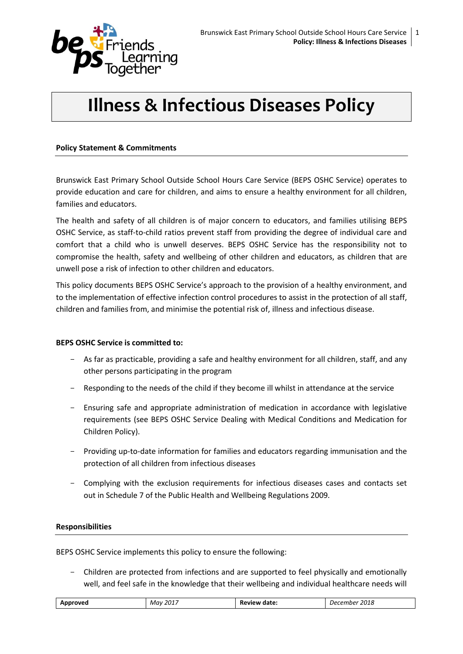

# **Illness & Infectious Diseases Policy**

#### **Policy Statement & Commitments**

Brunswick East Primary School Outside School Hours Care Service (BEPS OSHC Service) operates to provide education and care for children, and aims to ensure a healthy environment for all children, families and educators.

The health and safety of all children is of major concern to educators, and families utilising BEPS OSHC Service, as staff-to-child ratios prevent staff from providing the degree of individual care and comfort that a child who is unwell deserves. BEPS OSHC Service has the responsibility not to compromise the health, safety and wellbeing of other children and educators, as children that are unwell pose a risk of infection to other children and educators.

This policy documents BEPS OSHC Service's approach to the provision of a healthy environment, and to the implementation of effective infection control procedures to assist in the protection of all staff, children and families from, and minimise the potential risk of, illness and infectious disease.

#### **BEPS OSHC Service is committed to:**

- As far as practicable, providing a safe and healthy environment for all children, staff, and any other persons participating in the program
- Responding to the needs of the child if they become ill whilst in attendance at the service
- Ensuring safe and appropriate administration of medication in accordance with legislative requirements (see BEPS OSHC Service Dealing with Medical Conditions and Medication for Children Policy).
- Providing up-to-date information for families and educators regarding immunisation and the protection of all children from infectious diseases
- Complying with the exclusion requirements for infectious diseases cases and contacts set out in Schedule 7 of the Public Health and Wellbeing Regulations 2009*.*

#### **Responsibilities**

BEPS OSHC Service implements this policy to ensure the following:

- Children are protected from infections and are supported to feel physically and emotionally well, and feel safe in the knowledge that their wellbeing and individual healthcare needs will

| Approved | , 2017                             | date: | 2018  |
|----------|------------------------------------|-------|-------|
|          | Mav                                | Revu  | mber  |
|          | $\sim$ $\sim$ $\sim$ $\sim$ $\sim$ | ™ew   | Der - |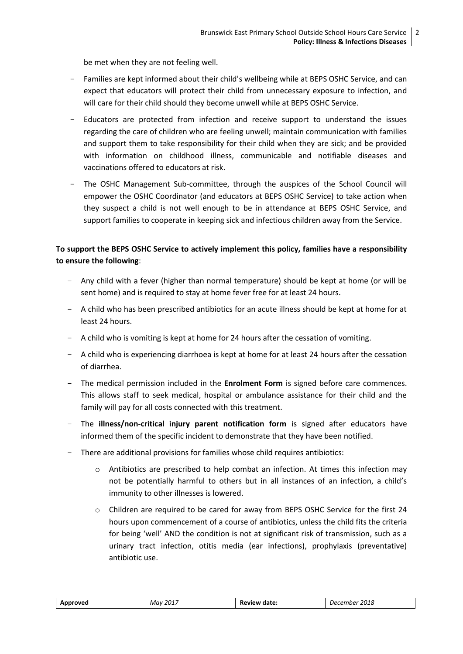be met when they are not feeling well.

- Families are kept informed about their child's wellbeing while at BEPS OSHC Service, and can expect that educators will protect their child from unnecessary exposure to infection, and will care for their child should they become unwell while at BEPS OSHC Service.
- Educators are protected from infection and receive support to understand the issues regarding the care of children who are feeling unwell; maintain communication with families and support them to take responsibility for their child when they are sick; and be provided with information on childhood illness, communicable and notifiable diseases and vaccinations offered to educators at risk.
- The OSHC Management Sub-committee, through the auspices of the School Council will empower the OSHC Coordinator (and educators at BEPS OSHC Service) to take action when they suspect a child is not well enough to be in attendance at BEPS OSHC Service, and support families to cooperate in keeping sick and infectious children away from the Service.

# **To support the BEPS OSHC Service to actively implement this policy, families have a responsibility to ensure the following**:

- Any child with a fever (higher than normal temperature) should be kept at home (or will be sent home) and is required to stay at home fever free for at least 24 hours.
- A child who has been prescribed antibiotics for an acute illness should be kept at home for at least 24 hours.
- A child who is vomiting is kept at home for 24 hours after the cessation of vomiting.
- A child who is experiencing diarrhoea is kept at home for at least 24 hours after the cessation of diarrhea.
- The medical permission included in the **Enrolment Form** is signed before care commences. This allows staff to seek medical, hospital or ambulance assistance for their child and the family will pay for all costs connected with this treatment.
- The **illness/non-critical injury parent notification form** is signed after educators have informed them of the specific incident to demonstrate that they have been notified.
- There are additional provisions for families whose child requires antibiotics:
	- $\circ$  Antibiotics are prescribed to help combat an infection. At times this infection may not be potentially harmful to others but in all instances of an infection, a child's immunity to other illnesses is lowered.
	- o Children are required to be cared for away from BEPS OSHC Service for the first 24 hours upon commencement of a course of antibiotics, unless the child fits the criteria for being 'well' AND the condition is not at significant risk of transmission, such as a urinary tract infection, otitis media (ear infections), prophylaxis (preventative) antibiotic use.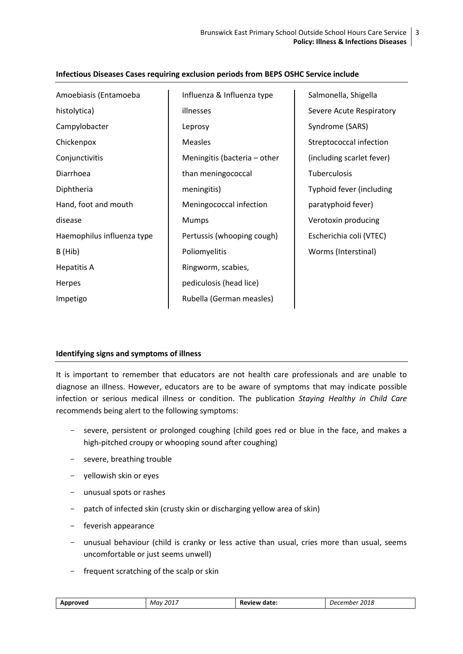| Amoebiasis (Entamoeba      | Influenza & Influenza type   | Salmonella, Shigella      |
|----------------------------|------------------------------|---------------------------|
| histolytica)               | illnesses                    | Severe Acute Respiratory  |
| Campylobacter              | Leprosy                      | Syndrome (SARS)           |
| Chickenpox                 | <b>Measles</b>               | Streptococcal infection   |
| Conjunctivitis             | Meningitis (bacteria – other | (including scarlet fever) |
| Diarrhoea                  | than meningococcal           | Tuberculosis              |
| Diphtheria                 | meningitis)                  | Typhoid fever (including  |
| Hand, foot and mouth       | Meningococcal infection      | paratyphoid fever)        |
| disease                    | Mumps                        | Verotoxin producing       |
| Haemophilus influenza type | Pertussis (whooping cough)   | Escherichia coli (VTEC)   |
| B (Hib)                    | Poliomyelitis                | Worms (Interstinal)       |
| Hepatitis A                | Ringworm, scabies,           |                           |
| Herpes                     | pediculosis (head lice)      |                           |
| Impetigo                   | Rubella (German measles)     |                           |
|                            |                              |                           |

## **Infectious Diseases Cases requiring exclusion periods from BEPS OSHC Service include**

#### **Identifying signs and symptoms of illness**

It is important to remember that educators are not health care professionals and are unable to diagnose an illness. However, educators are to be aware of symptoms that may indicate possible infection or serious medical illness or condition. The publication *Staying Healthy in Child Care*  recommends being alert to the following symptoms:

- severe, persistent or prolonged coughing (child goes red or blue in the face, and makes a high-pitched croupy or whooping sound after coughing)
- severe, breathing trouble
- yellowish skin or eyes
- unusual spots or rashes
- patch of infected skin (crusty skin or discharging yellow area of skin)
- feverish appearance
- unusual behaviour (child is cranky or less active than usual, cries more than usual, seems uncomfortable or just seems unwell)
- frequent scratching of the scalp or skin

| <b>b</b> oroved | 2017<br>Mav | date:<br><b>PVIEW</b><br><b>KE</b> | 2018<br>.nbe <sup>.</sup><br>. JPC<br>. |
|-----------------|-------------|------------------------------------|-----------------------------------------|
|                 |             |                                    |                                         |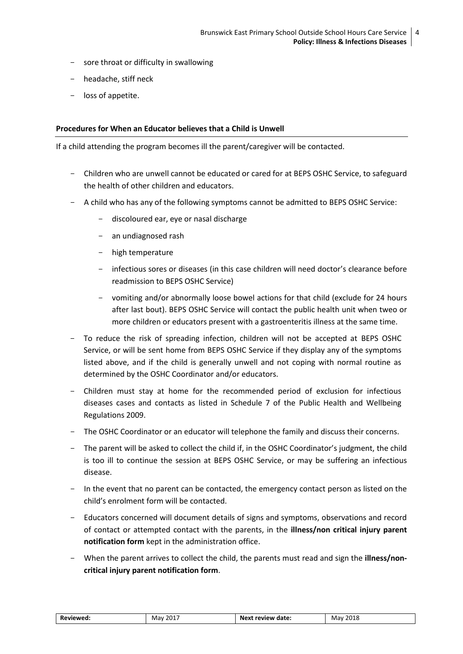- sore throat or difficulty in swallowing
- headache, stiff neck
- loss of appetite.

#### **Procedures for When an Educator believes that a Child is Unwell**

If a child attending the program becomes ill the parent/caregiver will be contacted.

- Children who are unwell cannot be educated or cared for at BEPS OSHC Service, to safeguard the health of other children and educators.
- A child who has any of the following symptoms cannot be admitted to BEPS OSHC Service:
	- discoloured ear, eye or nasal discharge
	- an undiagnosed rash
	- high temperature
	- infectious sores or diseases (in this case children will need doctor's clearance before readmission to BEPS OSHC Service)
	- vomiting and/or abnormally loose bowel actions for that child (exclude for 24 hours after last bout). BEPS OSHC Service will contact the public health unit when tweo or more children or educators present with a gastroenteritis illness at the same time.
- To reduce the risk of spreading infection, children will not be accepted at BEPS OSHC Service, or will be sent home from BEPS OSHC Service if they display any of the symptoms listed above, and if the child is generally unwell and not coping with normal routine as determined by the OSHC Coordinator and/or educators.
- Children must stay at home for the recommended period of exclusion for infectious diseases cases and contacts as listed in Schedule 7 of the Public Health and Wellbeing Regulations 2009.
- The OSHC Coordinator or an educator will telephone the family and discuss their concerns.
- The parent will be asked to collect the child if, in the OSHC Coordinator's judgment, the child is too ill to continue the session at BEPS OSHC Service, or may be suffering an infectious disease.
- In the event that no parent can be contacted, the emergency contact person as listed on the child's enrolment form will be contacted.
- Educators concerned will document details of signs and symptoms, observations and record of contact or attempted contact with the parents, in the **illness/non critical injury parent notification form** kept in the administration office.
- When the parent arrives to collect the child, the parents must read and sign the **illness/noncritical injury parent notification form**.

| Reviewed: | .<br><sup>201.</sup><br>Mav | <b>Next</b><br>t review date: | 2018<br>Mav |
|-----------|-----------------------------|-------------------------------|-------------|
|           |                             |                               |             |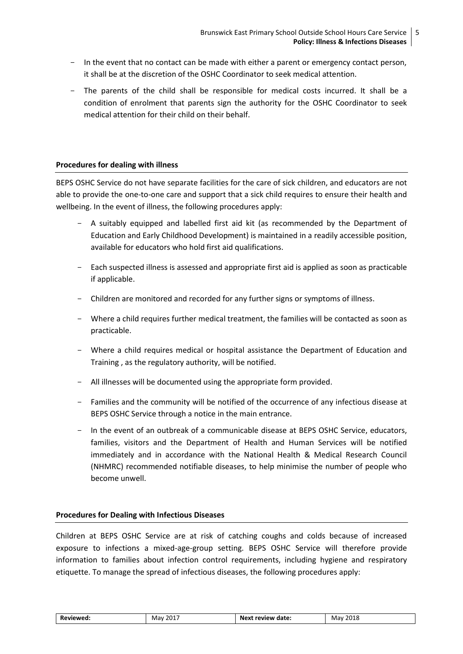- In the event that no contact can be made with either a parent or emergency contact person, it shall be at the discretion of the OSHC Coordinator to seek medical attention.
- The parents of the child shall be responsible for medical costs incurred. It shall be a condition of enrolment that parents sign the authority for the OSHC Coordinator to seek medical attention for their child on their behalf.

#### **Procedures for dealing with illness**

BEPS OSHC Service do not have separate facilities for the care of sick children, and educators are not able to provide the one-to-one care and support that a sick child requires to ensure their health and wellbeing. In the event of illness, the following procedures apply:

- A suitably equipped and labelled first aid kit (as recommended by the Department of Education and Early Childhood Development) is maintained in a readily accessible position, available for educators who hold first aid qualifications.
- Each suspected illness is assessed and appropriate first aid is applied as soon as practicable if applicable.
- Children are monitored and recorded for any further signs or symptoms of illness.
- Where a child requires further medical treatment, the families will be contacted as soon as practicable.
- Where a child requires medical or hospital assistance the Department of Education and Training , as the regulatory authority, will be notified.
- All illnesses will be documented using the appropriate form provided.
- Families and the community will be notified of the occurrence of any infectious disease at BEPS OSHC Service through a notice in the main entrance.
- In the event of an outbreak of a communicable disease at BEPS OSHC Service, educators, families, visitors and the Department of Health and Human Services will be notified immediately and in accordance with the National Health & Medical Research Council (NHMRC) recommended notifiable diseases, to help minimise the number of people who become unwell.

### **Procedures for Dealing with Infectious Diseases**

Children at BEPS OSHC Service are at risk of catching coughs and colds because of increased exposure to infections a mixed-age-group setting. BEPS OSHC Service will therefore provide information to families about infection control requirements, including hygiene and respiratory etiquette. To manage the spread of infectious diseases, the following procedures apply:

| Reviewed: | 2017<br>Mav | Next review date: | 2018<br>Mav |
|-----------|-------------|-------------------|-------------|
|           |             |                   |             |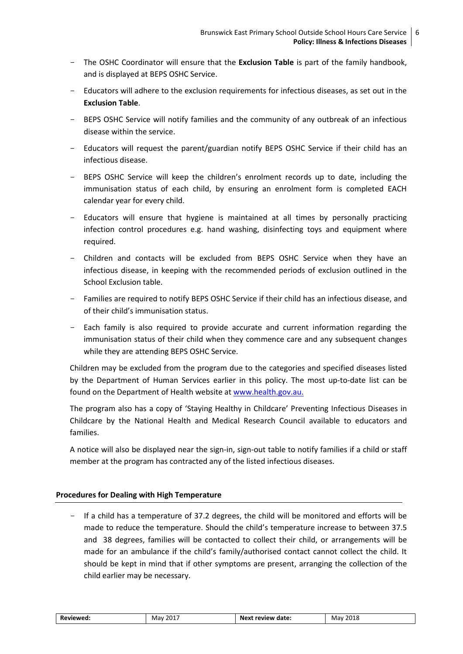- The OSHC Coordinator will ensure that the **Exclusion Table** is part of the family handbook, and is displayed at BEPS OSHC Service.
- Educators will adhere to the exclusion requirements for infectious diseases, as set out in the **Exclusion Table**.
- BEPS OSHC Service will notify families and the community of any outbreak of an infectious disease within the service.
- Educators will request the parent/guardian notify BEPS OSHC Service if their child has an infectious disease.
- BEPS OSHC Service will keep the children's enrolment records up to date, including the immunisation status of each child, by ensuring an enrolment form is completed EACH calendar year for every child.
- Educators will ensure that hygiene is maintained at all times by personally practicing infection control procedures e.g. hand washing, disinfecting toys and equipment where required.
- Children and contacts will be excluded from BEPS OSHC Service when they have an infectious disease, in keeping with the recommended periods of exclusion outlined in the School Exclusion table.
- Families are required to notify BEPS OSHC Service if their child has an infectious disease, and of their child's immunisation status.
- Each family is also required to provide accurate and current information regarding the immunisation status of their child when they commence care and any subsequent changes while they are attending BEPS OSHC Service.

Children may be excluded from the program due to the categories and specified diseases listed by the Department of Human Services earlier in this policy. The most up-to-date list can be found on the Department of Health website at [www.health.gov.au.](http://www.health.gov.au/)

The program also has a copy of 'Staying Healthy in Childcare' Preventing Infectious Diseases in Childcare by the National Health and Medical Research Council available to educators and families.

A notice will also be displayed near the sign-in, sign-out table to notify families if a child or staff member at the program has contracted any of the listed infectious diseases.

# **Procedures for Dealing with High Temperature**

- If a child has a temperature of 37.2 degrees, the child will be monitored and efforts will be made to reduce the temperature. Should the child's temperature increase to between 37.5 and 38 degrees, families will be contacted to collect their child, or arrangements will be made for an ambulance if the child's family/authorised contact cannot collect the child. It should be kept in mind that if other symptoms are present, arranging the collection of the child earlier may be necessary.

| Reviewed: | 2017<br>Mav | Next review date: | 2018<br>Mav |
|-----------|-------------|-------------------|-------------|
|           |             |                   |             |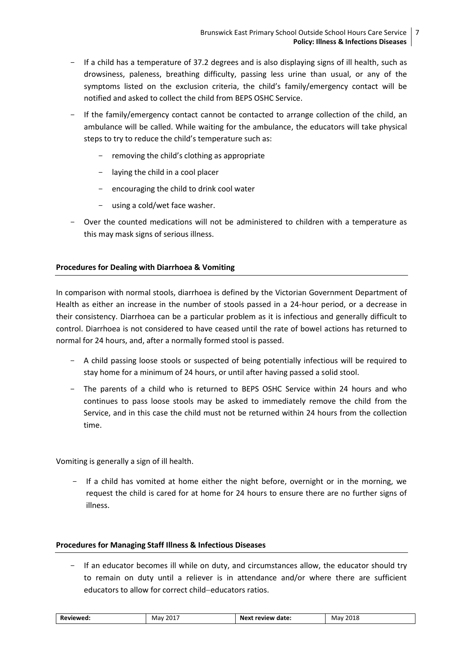- If a child has a temperature of 37.2 degrees and is also displaying signs of ill health, such as drowsiness, paleness, breathing difficulty, passing less urine than usual, or any of the symptoms listed on the exclusion criteria, the child's family/emergency contact will be notified and asked to collect the child from BEPS OSHC Service.
- If the family/emergency contact cannot be contacted to arrange collection of the child, an ambulance will be called. While waiting for the ambulance, the educators will take physical steps to try to reduce the child's temperature such as:
	- removing the child's clothing as appropriate
	- laying the child in a cool placer
	- encouraging the child to drink cool water
	- using a cold/wet face washer.
- Over the counted medications will not be administered to children with a temperature as this may mask signs of serious illness.

# **Procedures for Dealing with Diarrhoea & Vomiting**

In comparison with normal stools, diarrhoea is defined by the Victorian Government Department of Health as either an increase in the number of stools passed in a 24-hour period, or a decrease in their consistency. Diarrhoea can be a particular problem as it is infectious and generally difficult to control. Diarrhoea is not considered to have ceased until the rate of bowel actions has returned to normal for 24 hours, and, after a normally formed stool is passed.

- A child passing loose stools or suspected of being potentially infectious will be required to stay home for a minimum of 24 hours, or until after having passed a solid stool.
- The parents of a child who is returned to BEPS OSHC Service within 24 hours and who continues to pass loose stools may be asked to immediately remove the child from the Service, and in this case the child must not be returned within 24 hours from the collection time.

Vomiting is generally a sign of ill health.

If a child has vomited at home either the night before, overnight or in the morning, we request the child is cared for at home for 24 hours to ensure there are no further signs of illness.

#### **Procedures for Managing Staff Illness & Infectious Diseases**

- If an educator becomes ill while on duty, and circumstances allow, the educator should try to remain on duty until a reliever is in attendance and/or where there are sufficient educators to allow for correct child-educators ratios.

| we<br>.<br>_____ | --<br>$\overline{\phantom{a}}$<br>Mav<br>_____<br>$\sim$ | date.<br>NO.<br>review<br>.<br>______ | . הרי<br>May<br>___<br>__ |
|------------------|----------------------------------------------------------|---------------------------------------|---------------------------|
|------------------|----------------------------------------------------------|---------------------------------------|---------------------------|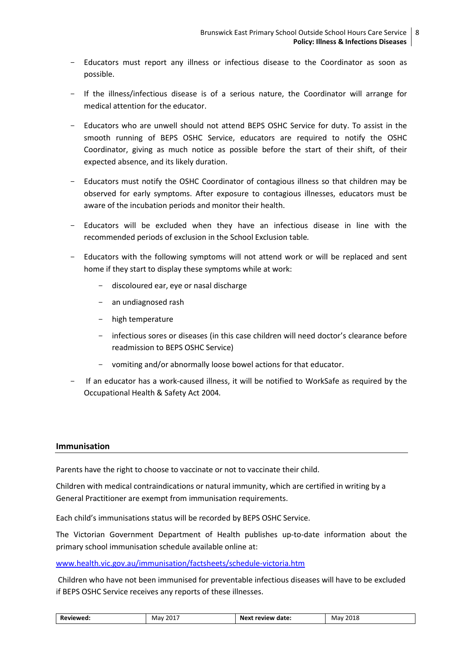- Educators must report any illness or infectious disease to the Coordinator as soon as possible.
- If the illness/infectious disease is of a serious nature, the Coordinator will arrange for medical attention for the educator.
- Educators who are unwell should not attend BEPS OSHC Service for duty. To assist in the smooth running of BEPS OSHC Service, educators are required to notify the OSHC Coordinator, giving as much notice as possible before the start of their shift, of their expected absence, and its likely duration.
- Educators must notify the OSHC Coordinator of contagious illness so that children may be observed for early symptoms. After exposure to contagious illnesses, educators must be aware of the incubation periods and monitor their health.
- Educators will be excluded when they have an infectious disease in line with the recommended periods of exclusion in the School Exclusion table*.*
- Educators with the following symptoms will not attend work or will be replaced and sent home if they start to display these symptoms while at work:
	- discoloured ear, eye or nasal discharge
	- an undiagnosed rash
	- high temperature
	- infectious sores or diseases (in this case children will need doctor's clearance before readmission to BEPS OSHC Service)
	- vomiting and/or abnormally loose bowel actions for that educator.
- If an educator has a work-caused illness, it will be notified to WorkSafe as required by the Occupational Health & Safety Act 2004*.*

#### **Immunisation**

Parents have the right to choose to vaccinate or not to vaccinate their child.

Children with medical contraindications or natural immunity, which are certified in writing by a General Practitioner are exempt from immunisation requirements.

Each child's immunisations status will be recorded by BEPS OSHC Service.

The Victorian Government Department of Health publishes up-to-date information about the primary school immunisation schedule available online at:

[www.health.vic.gov.au/immunisation/factsheets/schedule-victoria.htm](http://www.health.vic.gov.au/immunisation/factsheets/schedule-victoria.htm)

Children who have not been immunised for preventable infectious diseases will have to be excluded if BEPS OSHC Service receives any reports of these illnesses.

| Reviewed: | 2017<br>Mav<br>____ | date.<br>.<br>review<br>Next | 2018<br>Mav<br>___ |
|-----------|---------------------|------------------------------|--------------------|
|-----------|---------------------|------------------------------|--------------------|